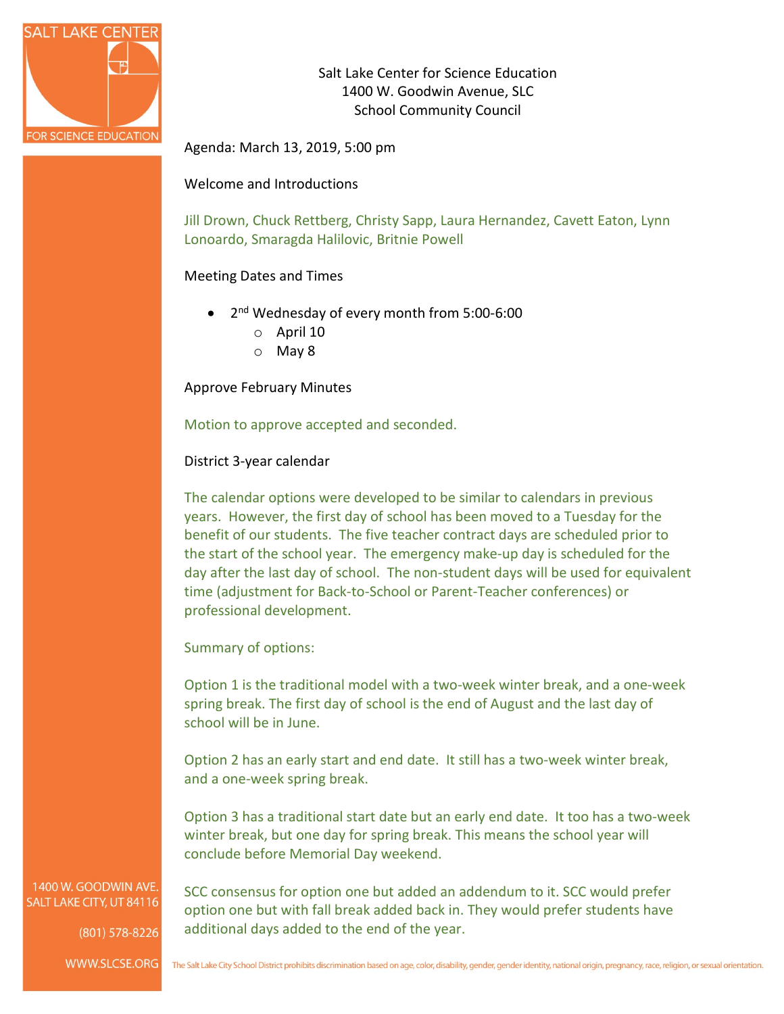

Salt Lake Center for Science Education 1400 W. Goodwin Avenue, SLC School Community Council

Agenda: March 13, 2019, 5:00 pm

Welcome and Introductions

Jill Drown, Chuck Rettberg, Christy Sapp, Laura Hernandez, Cavett Eaton, Lynn Lonoardo, Smaragda Halilovic, Britnie Powell

### Meeting Dates and Times

- 2<sup>nd</sup> Wednesday of every month from 5:00-6:00
	- o April 10
	- o May 8

Approve February Minutes

Motion to approve accepted and seconded.

District 3-year calendar

The calendar options were developed to be similar to calendars in previous years. However, the first day of school has been moved to a Tuesday for the benefit of our students. The five teacher contract days are scheduled prior to the start of the school year. The emergency make-up day is scheduled for the day after the last day of school. The non-student days will be used for equivalent time (adjustment for Back-to-School or Parent-Teacher conferences) or professional development.

Summary of options:

Option 1 is the traditional model with a two-week winter break, and a one-week spring break. The first day of school is the end of August and the last day of school will be in June.

Option 2 has an early start and end date. It still has a two-week winter break, and a one-week spring break.

Option 3 has a traditional start date but an early end date. It too has a two-week winter break, but one day for spring break. This means the school year will conclude before Memorial Day weekend.

1400 W. GOODWIN AVE. SALT LAKE CITY, UT 84116

(801) 578-8226

WWW.SLCSE.ORG

SCC consensus for option one but added an addendum to it. SCC would prefer option one but with fall break added back in. They would prefer students have additional days added to the end of the year.